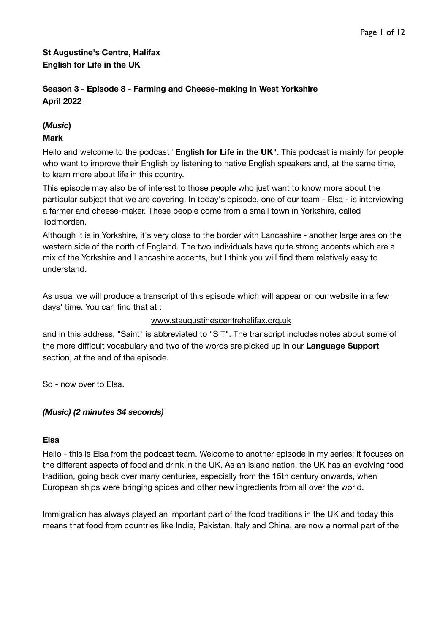## **St Augustine's Centre, Halifax English for Life in the UK**

### **Season 3 - Episode 8 - Farming and Cheese-making in West Yorkshire April 2022**

# **(***Music***)**

### **Mark**

Hello and welcome to the podcast "**English for Life in the UK"**. This podcast is mainly for people who want to improve their English by listening to native English speakers and, at the same time, to learn more about life in this country.

This episode may also be of interest to those people who just want to know more about the particular subject that we are covering. In today's episode, one of our team - Elsa - is interviewing a farmer and cheese-maker. These people come from a small town in Yorkshire, called Todmorden.

Although it is in Yorkshire, it's very close to the border with Lancashire - another large area on the western side of the north of England. The two individuals have quite strong accents which are a mix of the Yorkshire and Lancashire accents, but I think you will find them relatively easy to understand.

As usual we will produce a transcript of this episode which will appear on our website in a few days' time. You can find that at :

#### [www.staugustinescentrehalifax.org.uk](http://www.staugustinescentrehalifax.org.uk)

and in this address, "Saint" is abbreviated to "S T". The transcript includes notes about some of the more difficult vocabulary and two of the words are picked up in our **Language Support** section, at the end of the episode.

So - now over to Elsa.

#### *(Music) (2 minutes 34 seconds)*

#### **Elsa**

Hello - this is Elsa from the podcast team. Welcome to another episode in my series: it focuses on the different aspects of food and drink in the UK. As an island nation, the UK has an evolving food tradition, going back over many centuries, especially from the 15th century onwards, when European ships were bringing spices and other new ingredients from all over the world.

Immigration has always played an important part of the food traditions in the UK and today this means that food from countries like India, Pakistan, Italy and China, are now a normal part of the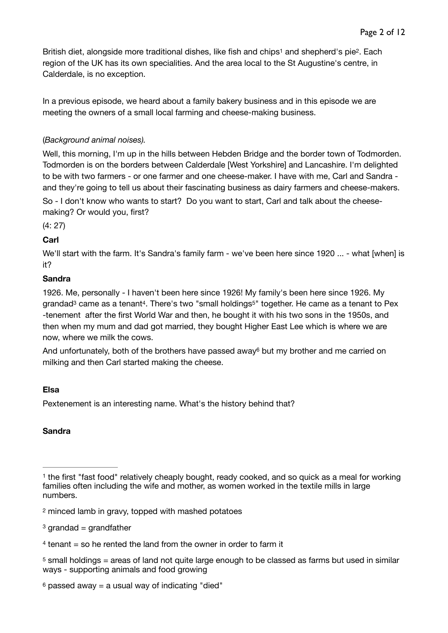<span id="page-1-7"></span><span id="page-1-6"></span>Britishdiet, alongside more traditional dishes, like fish and chips<sup>1</sup> and shepherd's pie<sup>2</sup>. Each region of the UK has its own specialities. And the area local to the St Augustine's centre, in Calderdale, is no exception.

In a previous episode, we heard about a family bakery business and in this episode we are meeting the owners of a small local farming and cheese-making business.

### (*Background animal noises).*

Well, this morning, I'm up in the hills between Hebden Bridge and the border town of Todmorden. Todmorden is on the borders between Calderdale [West Yorkshire] and Lancashire. I'm delighted to be with two farmers - or one farmer and one cheese-maker. I have with me, Carl and Sandra and they're going to tell us about their fascinating business as dairy farmers and cheese-makers.

So - I don't know who wants to start? Do you want to start, Carl and talk about the cheesemaking? Or would you, first?

(4: 27)

## **Carl**

We'll start with the farm. It's Sandra's family farm - we've been here since 1920 ... - what [when] is it?

### **Sandra**

<span id="page-1-10"></span><span id="page-1-9"></span><span id="page-1-8"></span>1926. Me, personally - I haven't been here since 1926! My family's been here since 1926. My grandad<sup>3</sup>came as a tenant<sup>4</sup>. There's two "small holdings<sup>5"</sup> together. He came as a tenant to Pex -tenement after the first World War and then, he bought it with his two sons in the 1950s, and then when my mum and dad got married, they bought Higher East Lee which is where we are now, where we milk the cows.

<span id="page-1-11"></span>Andunfortunately, both of the brothers have passed away $6$  but my brother and me carried on milking and then Carl started making the cheese.

### **Elsa**

Pextenement is an interesting name. What's the history behind that?

### **Sandra**

<span id="page-1-1"></span>[2](#page-1-7) minced lamb in gravy, topped with mashed potatoes

- <span id="page-1-2"></span> $3$  grandad = grandfather
- <span id="page-1-3"></span> $4$  tenant = so he rented the land from the owner in order to farm it

<span id="page-1-5"></span> $6$ passed away = a usual way of indicating "died"

<span id="page-1-0"></span><sup>&</sup>lt;sup>1</sup>the first "fast food" relatively cheaply bought, ready cooked, and so quick as a meal for working families often including the wife and mother, as women worked in the textile mills in large numbers.

<span id="page-1-4"></span> $5$ small holdings = areas of land not quite large enough to be classed as farms but used in similar ways - supporting animals and food growing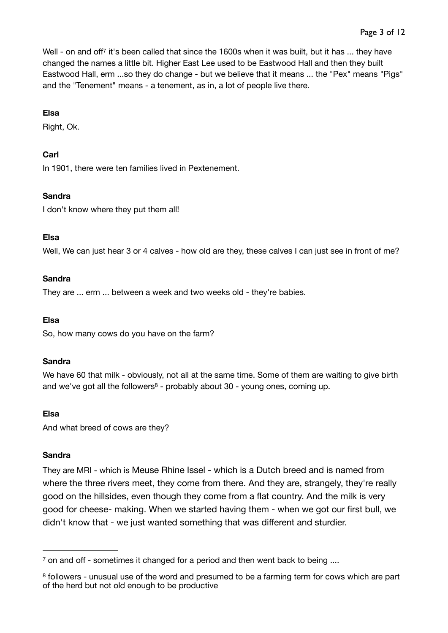<span id="page-2-2"></span>Well - on and off<sup>[7](#page-2-0)</sup> it's been called that since the 1600s when it was built, but it has ... they have changed the names a little bit. Higher East Lee used to be Eastwood Hall and then they built Eastwood Hall, erm ...so they do change - but we believe that it means ... the "Pex" means "Pigs" and the "Tenement" means - a tenement, as in, a lot of people live there.

#### **Elsa**

Right, Ok.

#### **Carl**

In 1901, there were ten families lived in Pextenement.

#### **Sandra**

I don't know where they put them all!

#### **Elsa**

Well, We can just hear 3 or 4 calves - how old are they, these calves I can just see in front of me?

#### **Sandra**

They are ... erm ... between a week and two weeks old - they're babies.

#### **Elsa**

So, how many cows do you have on the farm?

#### **Sandra**

<span id="page-2-3"></span>We have 60 that milk - obviously, not all at the same time. Some of them are waiting to give birth andwe've got all the followers<sup>[8](#page-2-1)</sup> - probably about  $30$  - young ones, coming up.

#### **Elsa**

And what breed of cows are they?

#### **Sandra**

They are MRI - which is Meuse Rhine Issel - which is a Dutch breed and is named from where the three rivers meet, they come from there. And they are, strangely, they're really good on the hillsides, even though they come from a flat country. And the milk is very good for cheese- making. When we started having them - when we got our first bull, we didn't know that - we just wanted something that was different and sturdier.

<span id="page-2-0"></span> $\frac{7}{1}$  $\frac{7}{1}$  $\frac{7}{1}$  on and off - sometimes it changed for a period and then went back to being ....

<span id="page-2-1"></span><sup>&</sup>lt;sup>8</sup>followers - unusual use of the word and presumed to be a farming term for cows which are part of the herd but not old enough to be productive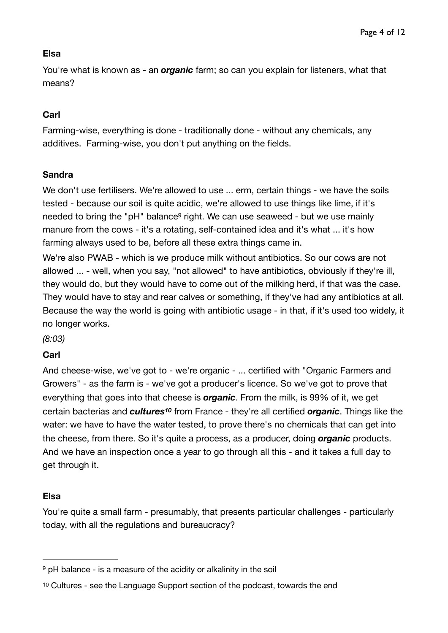# **Elsa**

You're what is known as - an *organic* farm; so can you explain for listeners, what that means?

# **Carl**

Farming-wise, everything is done - traditionally done - without any chemicals, any additives. Farming-wise, you don't put anything on the fields.

### **Sandra**

<span id="page-3-2"></span>We don't use fertilisers. We're allowed to use ... erm, certain things - we have the soils tested - because our soil is quite acidic, we're allowed to use things like lime, if it's needed to bring the "pH" balance<sup>[9](#page-3-0)</sup> right. We can use seaweed - but we use mainly manure from the cows - it's a rotating, self-contained idea and it's what ... it's how farming always used to be, before all these extra things came in.

We're also PWAB - which is we produce milk without antibiotics. So our cows are not allowed ... - well, when you say, "not allowed" to have antibiotics, obviously if they're ill, they would do, but they would have to come out of the milking herd, if that was the case. They would have to stay and rear calves or something, if they've had any antibiotics at all. Because the way the world is going with antibiotic usage - in that, if it's used too widely, it no longer works.

*(8:03)* 

### **Carl**

<span id="page-3-3"></span>And cheese-wise, we've got to - we're organic - ... certified with "Organic Farmers and Growers" - as the farm is - we've got a producer's licence. So we've got to prove that everything that goes into that cheese is *organic*. From the milk, is 99% of it, we get certain bacterias and **cultures<sup>[10](#page-3-1)</sup>** from France - they're all certified **organic**. Things like the water: we have to have the water tested, to prove there's no chemicals that can get into the cheese, from there. So it's quite a process, as a producer, doing *organic* products. And we have an inspection once a year to go through all this - and it takes a full day to get through it.

# **Elsa**

You're quite a small farm - presumably, that presents particular challenges - particularly today, with all the regulations and bureaucracy?

<span id="page-3-0"></span> $9$  pH balance - is a measure of the acidity or alkalinity in the soil

<span id="page-3-1"></span>[<sup>10</sup>](#page-3-3) Cultures - see the Language Support section of the podcast, towards the end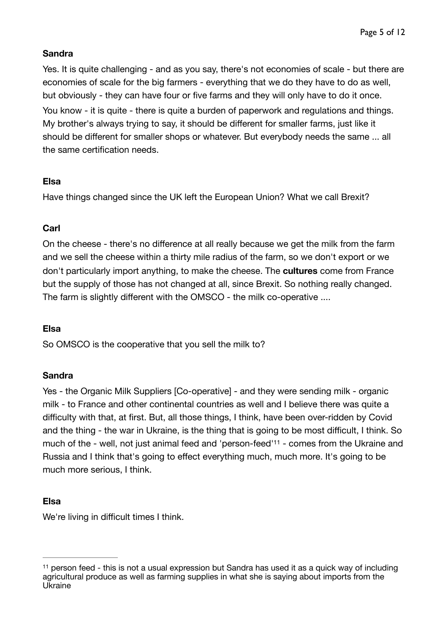## **Sandra**

Yes. It is quite challenging - and as you say, there's not economies of scale - but there are economies of scale for the big farmers - everything that we do they have to do as well, but obviously - they can have four or five farms and they will only have to do it once. You know - it is quite - there is quite a burden of paperwork and regulations and things. My brother's always trying to say, it should be different for smaller farms, just like it should be different for smaller shops or whatever. But everybody needs the same ... all the same certification needs.

# **Elsa**

Have things changed since the UK left the European Union? What we call Brexit?

# **Carl**

On the cheese - there's no difference at all really because we get the milk from the farm and we sell the cheese within a thirty mile radius of the farm, so we don't export or we don't particularly import anything, to make the cheese. The **cultures** come from France but the supply of those has not changed at all, since Brexit. So nothing really changed. The farm is slightly different with the OMSCO - the milk co-operative ....

# **Elsa**

So OMSCO is the cooperative that you sell the milk to?

# **Sandra**

<span id="page-4-1"></span>Yes - the Organic Milk Suppliers [Co-operative] - and they were sending milk - organic milk - to France and other continental countries as well and I believe there was quite a difficulty with that, at first. But, all those things, I think, have been over-ridden by Covid and the thing - the war in Ukraine, is the thing that is going to be most difficult, I think. So muchof the - well, not just animal feed and 'person-feed'<sup>[11](#page-4-0)</sup> - comes from the Ukraine and Russia and I think that's going to effect everything much, much more. It's going to be much more serious, I think.

# **Elsa**

We're living in difficult times I think.

<span id="page-4-0"></span> $11$ person feed - this is not a usual expression but Sandra has used it as a quick way of including agricultural produce as well as farming supplies in what she is saying about imports from the Ukraine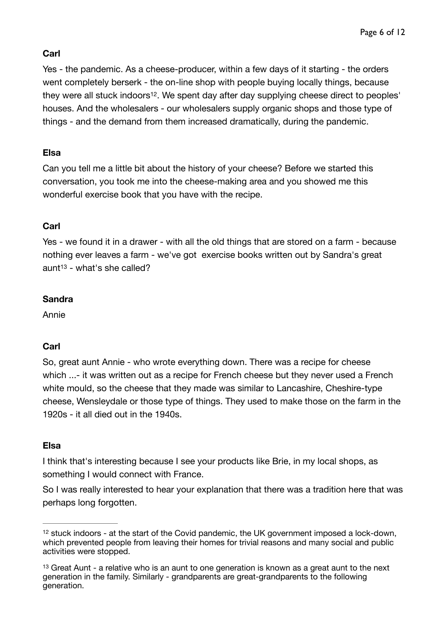## **Carl**

<span id="page-5-2"></span>Yes - the pandemic. As a cheese-producer, within a few days of it starting - the orders went completely berserk - the on-line shop with people buying locally things, because they were all stuck indoors<sup>12</sup>[.](#page-5-0) We spent day after day supplying cheese direct to peoples' houses. And the wholesalers - our wholesalers supply organic shops and those type of things - and the demand from them increased dramatically, during the pandemic.

## **Elsa**

Can you tell me a little bit about the history of your cheese? Before we started this conversation, you took me into the cheese-making area and you showed me this wonderful exercise book that you have with the recipe.

## **Carl**

<span id="page-5-3"></span>Yes - we found it in a drawer - with all the old things that are stored on a farm - because nothing ever leaves a farm - we've got exercise books written out by Sandra's great  $a$ un[t](#page-5-1)<sup>[13](#page-5-1)</sup> - what's she called?

## **Sandra**

Annie

# **Carl**

So, great aunt Annie - who wrote everything down. There was a recipe for cheese which ...- it was written out as a recipe for French cheese but they never used a French white mould, so the cheese that they made was similar to Lancashire, Cheshire-type cheese, Wensleydale or those type of things. They used to make those on the farm in the 1920s - it all died out in the 1940s.

### **Elsa**

I think that's interesting because I see your products like Brie, in my local shops, as something I would connect with France.

So I was really interested to hear your explanation that there was a tradition here that was perhaps long forgotten.

<span id="page-5-0"></span> $12$ stuck indoors - at the start of the Covid pandemic, the UK government imposed a lock-down, which prevented people from leaving their homes for trivial reasons and many social and public activities were stopped.

<span id="page-5-1"></span> $13$ Great Aunt - a relative who is an aunt to one generation is known as a great aunt to the next generation in the family. Similarly - grandparents are great-grandparents to the following generation.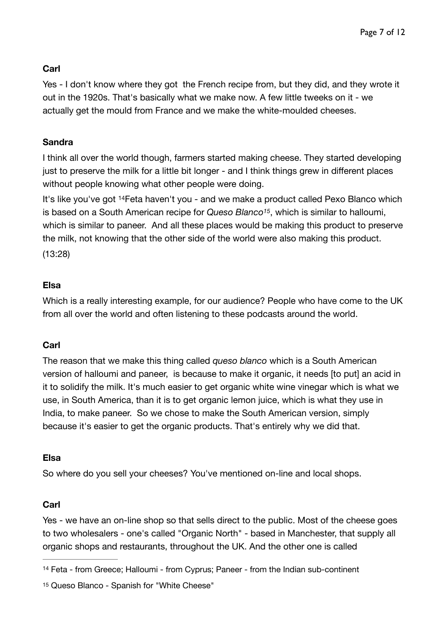## **Carl**

Yes - I don't know where they got the French recipe from, but they did, and they wrote it out in the 1920s. That's basically what we make now. A few little tweeks on it - we actually get the mould from France and we make the white-moulded cheeses.

### **Sandra**

I think all over the world though, farmers started making cheese. They started developing just to preserve the milk for a little bit longer - and I think things grew in different places without people knowing what other people were doing.

<span id="page-6-3"></span><span id="page-6-2"></span>It'slike you've got <sup>[14](#page-6-0)</sup> Feta haven't you - and we make a product called Pexo Blanco which is based on a South American recipe for *Queso Blanco*<sup>[15](#page-6-1)</sup>, which is similar to halloumi, which is similar to paneer. And all these places would be making this product to preserve the milk, not knowing that the other side of the world were also making this product. (13:28)

## **Elsa**

Which is a really interesting example, for our audience? People who have come to the UK from all over the world and often listening to these podcasts around the world.

### **Carl**

The reason that we make this thing called *queso blanco* which is a South American version of halloumi and paneer, is because to make it organic, it needs [to put] an acid in it to solidify the milk. It's much easier to get organic white wine vinegar which is what we use, in South America, than it is to get organic lemon juice, which is what they use in India, to make paneer. So we chose to make the South American version, simply because it's easier to get the organic products. That's entirely why we did that.

### **Elsa**

So where do you sell your cheeses? You've mentioned on-line and local shops.

### **Carl**

Yes - we have an on-line shop so that sells direct to the public. Most of the cheese goes to two wholesalers - one's called "Organic North" - based in Manchester, that supply all organic shops and restaurants, throughout the UK. And the other one is called

<span id="page-6-0"></span><sup>&</sup>lt;sup>[14](#page-6-2)</sup> Feta - from Greece; Halloumi - from Cyprus; Paneer - from the Indian sub-continent

<span id="page-6-1"></span><sup>&</sup>lt;sup>15</sup>Queso Blanco - Spanish for "White Cheese"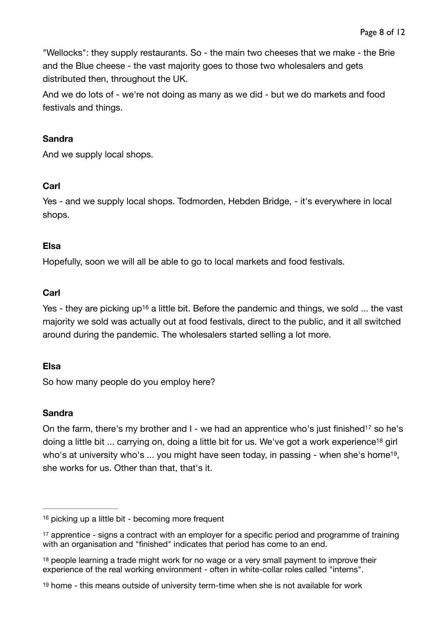"Wellocks": they supply restaurants. So - the main two cheeses that we make - the Brie and the Blue cheese - the vast majority goes to those two wholesalers and gets distributed then, throughout the UK.

And we do lots of - we're not doing as many as we did - but we do markets and food festivals and things.

### **Sandra**

And we supply local shops.

## **Carl**

Yes - and we supply local shops. Todmorden, Hebden Bridge, - it's everywhere in local shops.

## **Elsa**

Hopefully, soon we will all be able to go to local markets and food festivals.

# **Carl**

<span id="page-7-4"></span>Yes- they are picking up<sup>[16](#page-7-0)</sup> a little bit. Before the pandemic and things, we sold ... the vast majority we sold was actually out at food festivals, direct to the public, and it all switched around during the pandemic. The wholesalers started selling a lot more.

# **Elsa**

So how many people do you employ here?

# **Sandra**

<span id="page-7-7"></span><span id="page-7-6"></span><span id="page-7-5"></span>On the farm, there's my brother an[d](#page-7-1)  $I$  - we had an apprentice who's just finished<sup>[17](#page-7-1)</sup> so he's doing a littl[e](#page-7-2) bit  $\ldots$  carrying on, doing a little bit for us. We've got a work experience<sup>[18](#page-7-2)</sup> girl who's at university who's ... you might have seen today[,](#page-7-3) in passing - when she's home<sup>[19](#page-7-3)</sup>, she works for us. Other than that, that's it.

<span id="page-7-0"></span> $16$  picking up a little bit - becoming more frequent

<span id="page-7-1"></span><sup>&</sup>lt;sup>17</sup>apprentice - signs a contract with an employer for a specific period and programme of training with an organisation and "finished" indicates that period has come to an end.

<span id="page-7-2"></span><sup>&</sup>lt;sup>18</sup>people learning a trade might work for no wage or a very small payment to improve their experience of the real working environment - often in white-collar roles called "interns".

<span id="page-7-3"></span>[<sup>19</sup>](#page-7-7) home - this means outside of university term-time when she is not available for work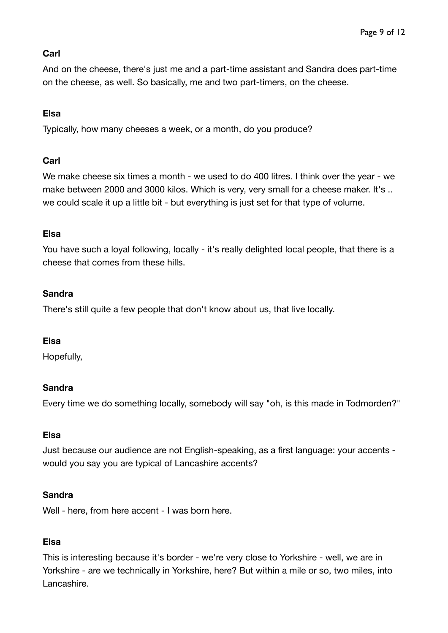# **Carl**

And on the cheese, there's just me and a part-time assistant and Sandra does part-time on the cheese, as well. So basically, me and two part-timers, on the cheese.

## **Elsa**

Typically, how many cheeses a week, or a month, do you produce?

## **Carl**

We make cheese six times a month - we used to do 400 litres. I think over the year - we make between 2000 and 3000 kilos. Which is very, very small for a cheese maker. It's .. we could scale it up a little bit - but everything is just set for that type of volume.

### **Elsa**

You have such a loyal following, locally - it's really delighted local people, that there is a cheese that comes from these hills.

## **Sandra**

There's still quite a few people that don't know about us, that live locally.

### **Elsa**

Hopefully,

### **Sandra**

Every time we do something locally, somebody will say "oh, is this made in Todmorden?"

### **Elsa**

Just because our audience are not English-speaking, as a first language: your accents would you say you are typical of Lancashire accents?

### **Sandra**

Well - here, from here accent - I was born here.

### **Elsa**

This is interesting because it's border - we're very close to Yorkshire - well, we are in Yorkshire - are we technically in Yorkshire, here? But within a mile or so, two miles, into Lancashire.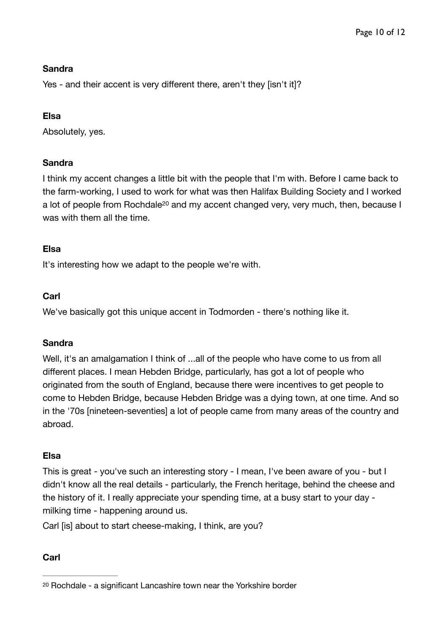## **Sandra**

Yes - and their accent is very different there, aren't they [isn't it]?

## **Elsa**

Absolutely, yes.

# **Sandra**

<span id="page-9-1"></span>I think my accent changes a little bit with the people that I'm with. Before I came back to the farm-working, I used to work for what was then Halifax Building Society and I worked a lot of people from Rochdale<sup>[20](#page-9-0)</sup> and my accent changed very, very much, then, because I was with them all the time.

## **Elsa**

It's interesting how we adapt to the people we're with.

# **Carl**

We've basically got this unique accent in Todmorden - there's nothing like it.

# **Sandra**

Well, it's an amalgamation I think of ...all of the people who have come to us from all different places. I mean Hebden Bridge, particularly, has got a lot of people who originated from the south of England, because there were incentives to get people to come to Hebden Bridge, because Hebden Bridge was a dying town, at one time. And so in the '70s [nineteen-seventies] a lot of people came from many areas of the country and abroad.

# **Elsa**

This is great - you've such an interesting story - I mean, I've been aware of you - but I didn't know all the real details - particularly, the French heritage, behind the cheese and the history of it. I really appreciate your spending time, at a busy start to your day milking time - happening around us.

Carl [is] about to start cheese-making, I think, are you?

# **Carl**

<span id="page-9-0"></span><sup>&</sup>lt;sup>[20](#page-9-1)</sup> Rochdale - a significant Lancashire town near the Yorkshire border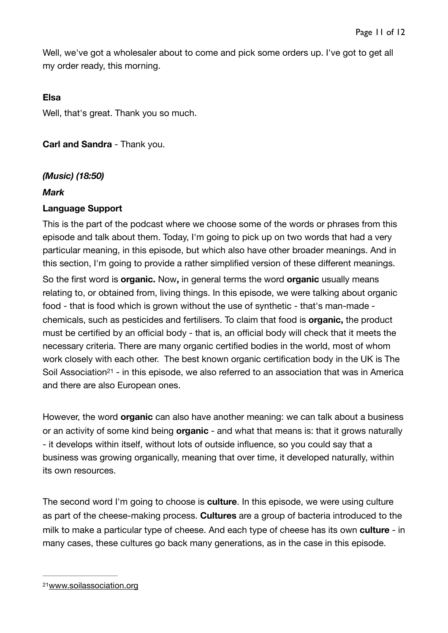Well, we've got a wholesaler about to come and pick some orders up. I've got to get all my order ready, this morning.

### **Elsa**

Well, that's great. Thank you so much.

**Carl and Sandra** - Thank you.

### *(Music) (18:50)*

#### *Mark*

#### **Language Support**

This is the part of the podcast where we choose some of the words or phrases from this episode and talk about them. Today, I'm going to pick up on two words that had a very particular meaning, in this episode, but which also have other broader meanings. And in this section, I'm going to provide a rather simplified version of these different meanings.

So the first word is **organic.** Now**,** in general terms the word **organic** usually means relating to, or obtained from, living things. In this episode, we were talking about organic food - that is food which is grown without the use of synthetic - that's man-made chemicals, such as pesticides and fertilisers. To claim that food is **organic,** the product must be certified by an official body - that is, an official body will check that it meets the necessary criteria. There are many organic certified bodies in the world, most of whom work closely with each other. The best known organic certification body in the UK is The Soil Associatio[n](#page-10-0)<sup>[21](#page-10-0)</sup> - in this episode, we also referred to an association that was in America and there are also European ones.

<span id="page-10-1"></span>However, the word **organic** can also have another meaning: we can talk about a business or an activity of some kind being **organic** - and what that means is: that it grows naturally - it develops within itself, without lots of outside influence, so you could say that a business was growing organically, meaning that over time, it developed naturally, within its own resources.

The second word I'm going to choose is **culture**. In this episode, we were using culture as part of the cheese-making process. **Cultures** are a group of bacteria introduced to the milk to make a particular type of cheese. And each type of cheese has its own **culture** - in many cases, these cultures go back many generations, as in the case in this episode.

<span id="page-10-0"></span>[<sup>21</sup>](#page-10-1)[www.soilassociation.org](http://www.soilassociation.org)